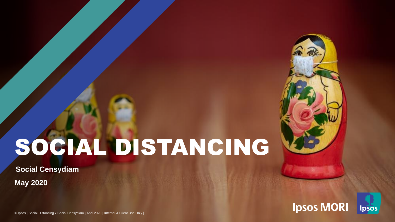# SOCIAL DISTANCING

**May 2020 Social Censydiam**



© Ipsos | Social Distancing x Social Censydiam | April 2020 | Internal & Client Use Only |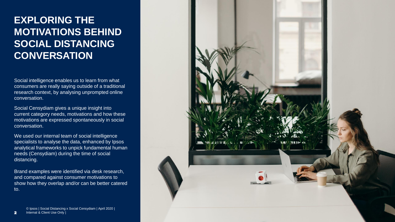### **EXPLORING THE MOTIVATIONS BEHIND SOCIAL DISTANCING CONVERSATION**

Social intelligence enables us to learn from what consumers are really saying outside of a traditional research context, by analysing unprompted online conversation.

Social Censydiam gives a unique insight into current category needs, motivations and how these motivations are expressed spontaneously in social conversation.

We used our internal team of social intelligence specialists to analyse the data, enhanced by Ipsos analytical frameworks to unpick fundamental human needs (Censydiam) during the time of social distancing.

Brand examples were identified via desk research, and compared against consumer motivations to show how they overlap and/or can be better catered to.

© Ipsos | Social Distancing x Social Censydiam | April 2020 | Internal & Client Use Only |

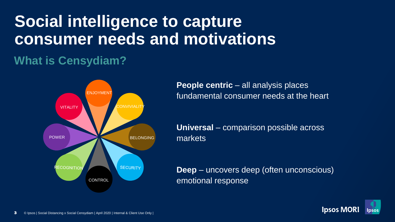## **Social intelligence to capture consumer needs and motivations**

## **What is Censydiam?**



**People centric** – all analysis places fundamental consumer needs at the heart

**Universal** – comparison possible across markets

**Deep** – uncovers deep (often unconscious) emotional response

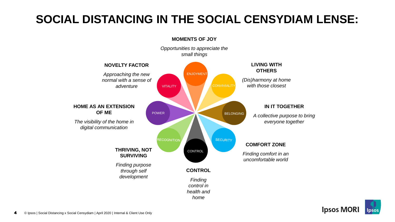## **SOCIAL DISTANCING IN THE SOCIAL CENSYDIAM LENSE:**



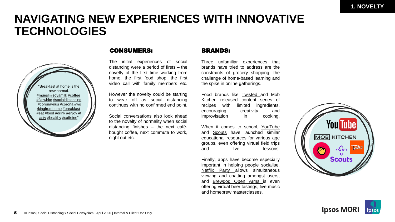### **NAVIGATING NEW EXPERIENCES WITH INNOVATIVE TECHNOLOGIES**



### CONSUMERS: BRANDS:

The initial experiences of social distancing were a period of firsts – the novelty of the first time working from home, the first food shop, the first video call with family members etc.

However the novelty could be starting to wear off as social distancing continues with no confirmed end point.

Social conversations also look ahead to the novelty of normality when social distancing finishes – the next cafébought coffee, next commute to work, night out etc.

Three unfamiliar experiences that brands have tried to address are the constraints of grocery shopping, the challenge of home-based learning and the spike in online gatherings.

Food brands like [Twisted](https://www.thedrum.com/creative-works/project/jungle-creations-corner-shop-challenge-2) and Mob Kitchen released content series of recipes with limited ingredients, encouraging creativity and improvisation in cooking.

When it comes to school, [YouTube](https://learnathome.withyoutube.com/?c=1008532-ytgen-eng-pm-gs-txt-lah-n-484&utm_campaign=1008532&yt_product=ytgen&yt_goal=eng&utm_source=paidsearch&utm_medium=googlesearch&utm_content=txt&yt_campaign_id=lah&yt_creative_id=n&utm_keyword=learning%20on%20youtube&utm_matchtype=e&gclid=CjwKCAjwkPX0BRBKEiwA7THxiFQMnqoTlgASR5g6HrKdAChmWFyiQ20z7LXIDVnXVnb4ELC7TrRZdxoC_b0QAvD_BwE&gclsrc=aw.ds) and **[Scouts](https://www.thedrum.com/creative-works/project/scouts-the-great-indoors)** have launched similar educational resources for various age groups, even offering virtual field trips and live lessons.

Finally, apps have become especially important in helping people socialise. [Netflix](https://www.netflixparty.com/) Party allows simultaneous viewing and chatting amongst users, and [Brewdog](https://www.brewdog.com/uk/onlinebar) Open Arms is even offering virtual beer tastings, live music and homebrew masterclasses.



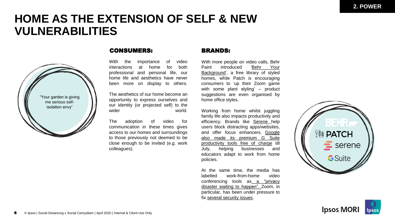### **HOME AS THE EXTENSION OF SELF & NEW VULNERABILITIES**



### CONSUMERS: BRANDS:

With the importance of video interactions at home for both professional and personal life, our home life and aesthetics have never been more on display to others.

The aesthetics of our home become an opportunity to express ourselves and our identity (or projected self) to the wider world.

The adoption of video for communication in these times gives access to our homes and surroundings to those previously not deemed to be close enough to be invited (e.g. work colleagues).

With more people on video calls, Behr Paint introduced 'Behr Your [Background',](https://www.thedrum.com/creative-works/project/behr-behr-your-background) a free library of styled homes, while Patch is encouraging consumers to 'up their Zoom game with some plant styling' – product suggestions are even organised by home office styles.

Working from home whilst juggling family life also impacts productivity and efficiency. Brands like [Serene](https://sereneapp.com/) help users block distracting apps/websites, and offer focus enhancers. Google also made its premium G Suite [productivity](https://hrmasia.com/google-making-productivity-tools-free-amidst-covid-19/) tools free of charge till July, helping businesses and educators adapt to work from home policies.

At the same time, the media has labelled work-from-home video [conferencing](https://mashable.com/article/zoom-conference-call-work-from-home-privacy-concerns/?europe=true&utm_source=internal&utm_medium=onsitehttps://www.telegraph.co.uk/technology/0/houseparty-app-safe-hackers/) tools as a "privacy disaster waiting to happen". Zoom, in particular, has been under pressure to fix several [security](https://mashable.com/article/zoom-sorry/?europe=true&utm_source=internal&utm_medium=onsite) issues.



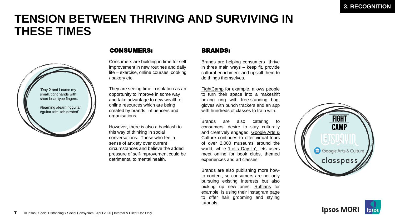## **TENSION BETWEEN THRIVING AND SURVIVING IN THESE TIMES**



### CONSUMERS: BRANDS:

Consumers are building in time for self improvement in new routines and daily life – exercise, online courses, cooking / bakery etc.

They are seeing time in isolation as an opportunity to improve in some way and take advantage to new wealth of online resources which are being created by brands, influencers and organisations.

However, there is also a backlash to this way of thinking in social conversations. Those who feel a sense of anxiety over current circumstances and believe the added pressure of self-improvement could be detrimental to mental health.

Brands are helping consumers thrive in three main ways – keep fit, provide cultural enrichment and upskill them to do things themselves.

[FightCamp](https://mashable.com/article/fightcamp-review/?europe=true) for example, allows people to turn their space into a makeshift boxing ring with free-standing bag, gloves with punch trackers and an app with hundreds of classes to train with.

Brands are also catering to consumers' desire to stay culturally and creatively engaged. Google Arts & Culture [continues](https://artsandculture.google.com/) to offer virtual tours of over 2,000 museums around the world, while ['Let's](https://letsdayout.com/about-the-app/) Day In', lets users meet online for book clubs, themed experiences and art classes.

Brands are also publishing more howto content, so consumers are not only pursuing existing interests but also picking up new ones. [Ruffians](https://www.instagram.com/ruffians/?hl=en) for example, is using their Instagram page to offer hair grooming and styling tutorials.



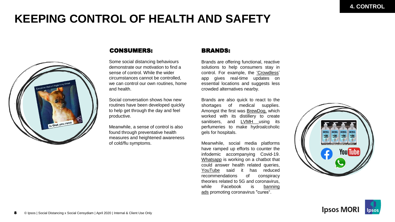## **KEEPING CONTROL OF HEALTH AND SAFETY**



### CONSUMERS: BRANDS:

Some social distancing behaviours demonstrate our motivation to find a sense of control. While the wider circumstances cannot be controlled, we can control our own routines, home and health.

Social conversation shows how new routines have been developed quickly to help get through the day and feel productive.

Meanwhile, a sense of control is also found through preventative health measures and heightened awareness of cold/flu symptoms.

Brands are offering functional, reactive solutions to help consumers stay in control. For example, the ['Crowdless'](https://crowdlessapp.co/) app gives real-time updates on essential locations and suggests less crowded alternatives nearby.

Brands are also quick to react to the shortages of medical supplies. Amongst the first was [BrewDog,](https://www.thedrum.com/creative-works/project/brewdog-brewgel-punk-sanitizer) which worked with its distillery to create sanitisers, and [LVMH](https://www.ft.com/content/e9c2bae4-6909-11ea-800d-da70cff6e4d3) using its perfumeries to make hydroalcoholic gels for hospitals.

Meanwhile, social media platforms have ramped up efforts to counter the infodemic accompanying Covid-19. [Whatsapp](https://www.standard.co.uk/tech/whatsapp-fake-news-forward-message-limits-a4409166.html) is working on a chatbot that could answer health related queries, [YouTube](https://mashable.com/article/youtube-5g-coronavirus-conspiracy-theories/?europe=true) said it has reduced recommendations of conspiracy theories related to 5G and coronavirus, while Facebook is banning ads promoting [coronavirus](https://mashable.com/article/facebook-coronavirus-ads/) "cures".



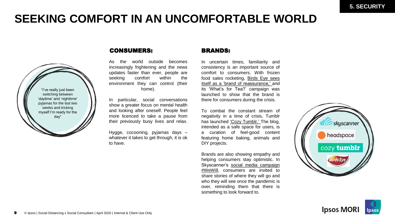## **SEEKING COMFORT IN AN UNCOMFORTABLE WORLD**



### CONSUMERS: BRANDS:

As the world outside becomes increasingly frightening and the news updates faster than ever, people are seeking comfort within the environment they can control (their home).

In particular, social conversations show a greater focus on mental health and looking after oneself. People feel more licenced to take a pause from their previously busy lives and relax.

Hygge, cocooning, pyjamas days – whatever it takes to get through, it is ok to have.

In uncertain times, familiarity and consistency is an important source of comfort to consumers. With frozen food sales rocketing, Birds Eye sees itself as a 'brand of [reassurance,'](https://www.marketingweek.com/birds-eye-responsibility-advertising-coronavirus/) and its 'What's for Tea?' campaign was launched to show that the brand is there for consumers during the crisis.

To combat the constant stream of negativity in a time of crisis, Tumblr has launched 'Cozy [Tumblr.'](https://cozy.tumblr.com/) The blog, intended as a safe space for users, is a curation of feel-good content featuring home baking, animals and DIY projects.

Brands are also showing empathy and helping consumers stay optimistic. In [Skyscanner's](https://www.adnews.com.au/campaigns/skyscanner-inspires-travel-from-home-with-wewill-campaign) social media campaign #WeWill, consumers are invited to share stories of where they will go and who they will see once the pandemic is over, reminding them that there is something to look forward to.



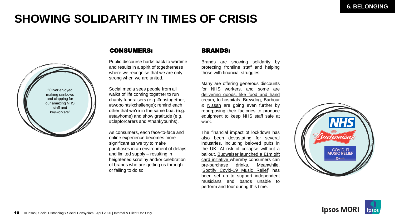## **SHOWING SOLIDARITY IN TIMES OF CRISIS**



### CONSUMERS: BRANDS:

Public discourse harks back to wartime and results in a spirit of togetherness where we recognise that we are only strong when we are united.

Social media sees people from all walks of life coming together to run charity fundraisers (e.g. #nhstogether, #twopointsixchallenge); remind each other that we're in the same boat (e.g. #stayhome) and show gratitude (e.g. #clapforcarers and #thankyounhs).

As consumers, each face-to-face and online experience becomes more significant as we try to make purchases in an environment of delays and limited supply – resulting in heightened scrutiny and/or celebration of brands who are getting us through or failing to do so.

Brands are showing solidarity by protecting frontline staff and helping those with financial struggles.

Many are offering generous discounts for NHS workers, and some are delivering goods, like food and hand cream, to [hospitals.](https://www.marieclaire.co.uk/news/beauty-news/beauty-brands-supporting-coronavirus-crisis-693694) [Brewdog,](https://www.brewdog.com/uk/hand-sanitiser) [Barbour](https://www.chroniclelive.co.uk/news/north-east-news/barbour-making-23000-medical-gowns-18110679) & [Nissan](https://www.bbc.co.uk/news/uk-england-tyne-52309783) are going even further by repurposing their factories to produce equipment to keep NHS staff safe at work.

The financial impact of lockdown has also been devastating for several industries, including beloved pubs in the UK. At risk of collapse without a bailout, Budweiser launched a £1m gift card initiative whereby [consumers](https://www.thedrum.com/news/2020/03/30/budweiser-launches-gift-card-scheme-save-britain-s-pubs) can pre-purchase drinks. Meanwhile, 'Spotify [Covid-19](https://www.thedrum.com/news/2020/03/26/ads-we-spotify-sets-up-covid-19-music-relief-support-the-arts-community) Music Relief' has been set up to support independent musicians and bands unable to perform and tour during this time.



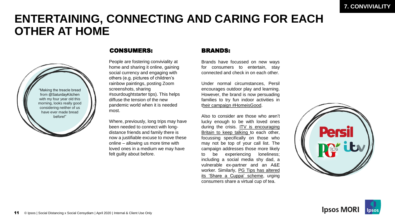### **ENTERTAINING, CONNECTING AND CARING FOR EACH OTHER AT HOME**



### CONSUMERS: BRANDS:

People are fostering conviviality at home and sharing it online, gaining social currency and engaging with others (e.g. pictures of children's rainbow paintings, posting Zoom screenshots, sharing #sourdoughtstarter tips). This helps diffuse the tension of the new pandemic world when it is needed most.

Where, previously, long trips may have been needed to connect with longdistance friends and family there is now a justifiable excuse to move these online – allowing us more time with loved ones in a medium we may have felt guilty about before.

Brands have focussed on new ways for consumers to entertain, stay connected and check in on each other.

Under normal circumstances, Persil encourages outdoor play and learning. However, the brand is now persuading families to try fun indoor activities in their campaign [#HomeisGood](https://www.persil.com/uk/dirt-is-good/daily-activities.html).

Also to consider are those who aren't lucky enough to be with loved ones during the crisis. ITV is [encouraging](https://www.thedrum.com/creative-works/project/uncommon-itv-britain-get-talking) Britain to keep talking to each other, focussing specifically on those who may not be top of your call list. The campaign addresses those more likely to be experiencing loneliness; including a social media shy dad, a vulnerable ex-partner and an A&E worker. [Similarly,](https://www.pgtips.co.uk/cuppastogether.html) PG Tips has altered its 'Share a Cuppa' scheme, urging consumers share a virtual cup of tea.



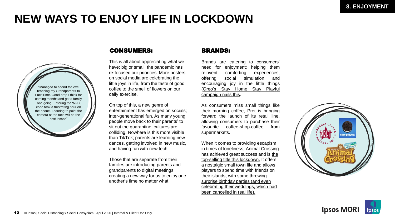## **NEW WAYS TO ENJOY LIFE IN LOCKDOWN**



### CONSUMERS: BRANDS:

This is all about appreciating what we have; big or small, the pandemic has re-focused our priorities. More posters on social media are celebrating the little joys in life, from the taste of good coffee to the smell of flowers on our daily exercise.

On top of this, a new genre of entertainment has emerged on socials; inter-generational fun. As many young people move back to their parents' to sit out the quarantine, cultures are colliding. Nowhere is this more visible than TikTok; parents are learning new dances, getting involved in new music, and having fun with new tech.

Those that are separate from their families are introducing parents and grandparents to digital meetings, creating a new way for us to enjoy one another's time no matter what.

Brands are catering to consumers' need for enjoyment; helping them reinvent comforting experiences, offering social simulation and encouraging joy in the little things (Oreo's Stay Home Stay Playful [campaign](https://www.youtube.com/watch?v=4wOaqOpDxNQ) nails this.

As consumers miss small things like their morning coffee, Pret is bringing forward the launch of its retail line, allowing consumers to purchase their favourite coffee-shop-coffee from supermarkets.

When it comes to providing escapism in times of loneliness, Animal Crossing has achieved great success and is the [top-selling title this lockdown, It offers](https://www.theguardian.com/games/2020/apr/23/family-friendly-animal-crossing-takes-video-game-top-spot-amid-lockdown) a nostalgic small town life and allows players to spend time with friends on their islands, with some throwing surprise birthday parties (and even [celebrating their weddings, which had](https://www.independent.co.uk/arts-entertainment/games/news/animal-crossing-new-horizons-weddings-coronavirus-acnh-reddit-twitter-a9440781.html)  been cancelled in real life).



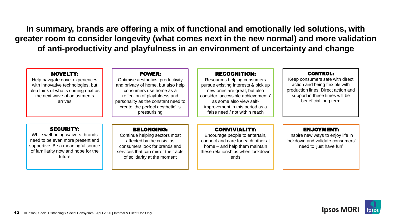**In summary, brands are offering a mix of functional and emotionally led solutions, with greater room to consider longevity (what comes next in the new normal) and more validation of anti-productivity and playfulness in an environment of uncertainty and change**

| <b>NOVELTY:</b><br>Help navigate novel experiences<br>with innovative technologies, but<br>also think of what's coming next as<br>the next wave of adjustments<br>arrives       | <b>POWER:</b><br>Optimise aesthetics, productivity<br>and privacy of home, but also help<br>consumers use home as a<br>reflection of playfulness and<br>personality as the constant need to<br>create 'the perfect aesthetic' is<br>pressurising | <b>RECOGNITION:</b><br>Resources helping consumers<br>pursue existing interests & pick up<br>new ones are great, but also<br>consider 'accessible achievements'<br>as some also view self-<br>improvement in this period as a<br>false need / not within reach | <b>CONTROL:</b><br>Keep consumers safe with direct<br>action and being flexible with<br>production lines. Direct action and<br>support in these times will be<br>beneficial long term |
|---------------------------------------------------------------------------------------------------------------------------------------------------------------------------------|--------------------------------------------------------------------------------------------------------------------------------------------------------------------------------------------------------------------------------------------------|----------------------------------------------------------------------------------------------------------------------------------------------------------------------------------------------------------------------------------------------------------------|---------------------------------------------------------------------------------------------------------------------------------------------------------------------------------------|
| <b>SECURITY:</b><br>While well-being waivers, brands<br>need to be even more present and<br>supportive. Be a meaningful source<br>of familiarity now and hope for the<br>future | <b>BELONGING:</b><br>Continue helping sectors most<br>affected by the crisis, as<br>consumers look for brands and<br>services that can mirror their acts<br>of solidarity at the moment                                                          | <b>CONVIVIALITY:</b><br>Encourage people to entertain,<br>connect and care for each other at<br>home – and help them maintain<br>these relationships when lockdown<br>ends                                                                                     | <b>ENJOYMENT:</b><br>Inspire new ways to enjoy life in<br>lockdown and validate consumers'<br>need to 'just have fun'                                                                 |

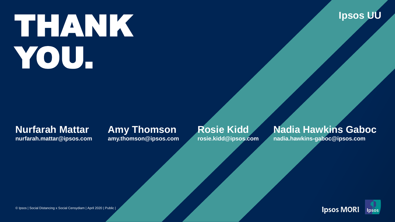# THANK YOU.



### **Nurfarah Mattar**

**nurfarah.mattar@ipsos.com**

### **Amy Thomson amy.thomson@ipsos.com**

**Rosie Kidd rosie.kidd@ipsos.com**

### **Nadia Hawkins Gaboc**

**nadia.hawkins-gaboc@ipsos.com**



© Ipsos | Social Distancing x Social Censydiam | April 2020 | Public |